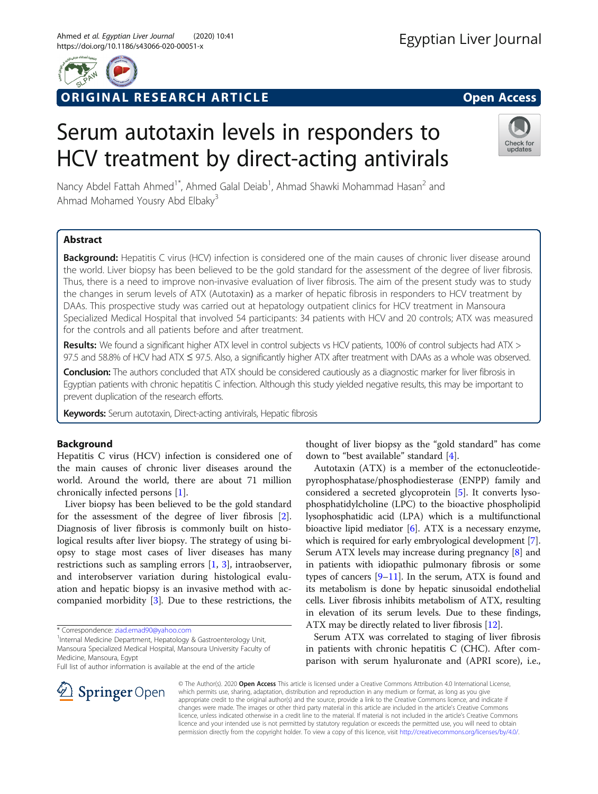

# ORIGINAL RESEARCH ARTICLE **Solution Contract Contract Contract Contract Contract Contract Contract Contract Contract Contract Contract Contract Contract Contract Contract Contract Contract Contract Contract Contract Contra**

# Serum autotaxin levels in responders to HCV treatment by direct-acting antivirals



Nancy Abdel Fattah Ahmed<sup>1\*</sup>, Ahmed Galal Deiab<sup>1</sup>, Ahmad Shawki Mohammad Hasan<sup>2</sup> and Ahmad Mohamed Yousry Abd Elbaky<sup>3</sup>

# Abstract

Background: Hepatitis C virus (HCV) infection is considered one of the main causes of chronic liver disease around the world. Liver biopsy has been believed to be the gold standard for the assessment of the degree of liver fibrosis. Thus, there is a need to improve non-invasive evaluation of liver fibrosis. The aim of the present study was to study the changes in serum levels of ATX (Autotaxin) as a marker of hepatic fibrosis in responders to HCV treatment by DAAs. This prospective study was carried out at hepatology outpatient clinics for HCV treatment in Mansoura Specialized Medical Hospital that involved 54 participants: 34 patients with HCV and 20 controls; ATX was measured for the controls and all patients before and after treatment.

Results: We found a significant higher ATX level in control subjects vs HCV patients, 100% of control subjects had ATX > 97.5 and 58.8% of HCV had ATX ≤ 97.5. Also, a significantly higher ATX after treatment with DAAs as a whole was observed.

Conclusion: The authors concluded that ATX should be considered cautiously as a diagnostic marker for liver fibrosis in Egyptian patients with chronic hepatitis C infection. Although this study yielded negative results, this may be important to prevent duplication of the research efforts.

Keywords: Serum autotaxin, Direct-acting antivirals, Hepatic fibrosis

# Background

Hepatitis C virus (HCV) infection is considered one of the main causes of chronic liver diseases around the world. Around the world, there are about 71 million chronically infected persons [\[1](#page-3-0)].

Liver biopsy has been believed to be the gold standard for the assessment of the degree of liver fibrosis [\[2](#page-3-0)]. Diagnosis of liver fibrosis is commonly built on histological results after liver biopsy. The strategy of using biopsy to stage most cases of liver diseases has many restrictions such as sampling errors [[1](#page-3-0), [3\]](#page-3-0), intraobserver, and interobserver variation during histological evaluation and hepatic biopsy is an invasive method with accompanied morbidity [[3\]](#page-3-0). Due to these restrictions, the

\* Correspondence: [ziad.emad90@yahoo.com](mailto:ziad.emad90@yahoo.com) <sup>1</sup>

<sup>1</sup>Internal Medicine Department, Hepatology & Gastroenterology Unit, Mansoura Specialized Medical Hospital, Mansoura University Faculty of Medicine, Mansoura, Egypt

Full list of author information is available at the end of the article

thought of liver biopsy as the "gold standard" has come down to "best available" standard [\[4](#page-3-0)].

Autotaxin (ATX) is a member of the ectonucleotidepyrophosphatase/phosphodiesterase (ENPP) family and considered a secreted glycoprotein [\[5](#page-3-0)]. It converts lysophosphatidylcholine (LPC) to the bioactive phospholipid lysophosphatidic acid (LPA) which is a multifunctional bioactive lipid mediator [\[6](#page-3-0)]. ATX is a necessary enzyme, which is required for early embryological development [[7](#page-3-0)]. Serum ATX levels may increase during pregnancy [[8\]](#page-3-0) and in patients with idiopathic pulmonary fibrosis or some types of cancers  $[9-11]$  $[9-11]$  $[9-11]$ . In the serum, ATX is found and its metabolism is done by hepatic sinusoidal endothelial cells. Liver fibrosis inhibits metabolism of ATX, resulting in elevation of its serum levels. Due to these findings, ATX may be directly related to liver fibrosis [[12\]](#page-3-0).

Serum ATX was correlated to staging of liver fibrosis in patients with chronic hepatitis C (CHC). After comparison with serum hyaluronate and (APRI score), i.e.,



© The Author(s). 2020 Open Access This article is licensed under a Creative Commons Attribution 4.0 International License, which permits use, sharing, adaptation, distribution and reproduction in any medium or format, as long as you give appropriate credit to the original author(s) and the source, provide a link to the Creative Commons licence, and indicate if changes were made. The images or other third party material in this article are included in the article's Creative Commons licence, unless indicated otherwise in a credit line to the material. If material is not included in the article's Creative Commons licence and your intended use is not permitted by statutory regulation or exceeds the permitted use, you will need to obtain permission directly from the copyright holder. To view a copy of this licence, visit <http://creativecommons.org/licenses/by/4.0/>.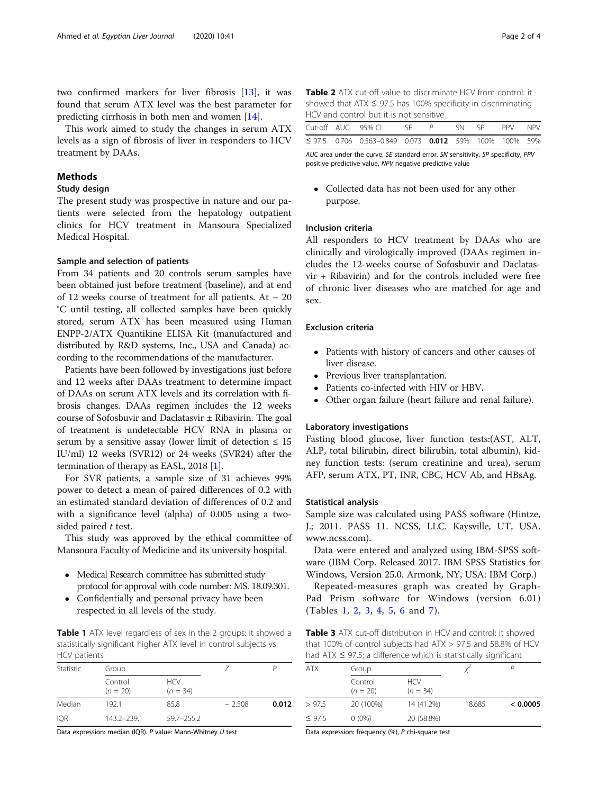two confirmed markers for liver fibrosis [\[13\]](#page-3-0), it was found that serum ATX level was the best parameter for predicting cirrhosis in both men and women [\[14](#page-3-0)].

This work aimed to study the changes in serum ATX levels as a sign of fibrosis of liver in responders to HCV treatment by DAAs.

# Methods

# Study design

The present study was prospective in nature and our patients were selected from the hepatology outpatient clinics for HCV treatment in Mansoura Specialized Medical Hospital.

#### Sample and selection of patients

From 34 patients and 20 controls serum samples have been obtained just before treatment (baseline), and at end of 12 weeks course of treatment for all patients. At – 20 °C until testing, all collected samples have been quickly stored, serum ATX has been measured using Human ENPP-2/ATX Quantikine ELISA Kit (manufactured and distributed by R&D systems, Inc., USA and Canada) according to the recommendations of the manufacturer.

Patients have been followed by investigations just before and 12 weeks after DAAs treatment to determine impact of DAAs on serum ATX levels and its correlation with fibrosis changes. DAAs regimen includes the 12 weeks course of Sofosbuvir and Daclatasvir ± Ribavirin. The goal of treatment is undetectable HCV RNA in plasma or serum by a sensitive assay (lower limit of detection  $\leq 15$ ) IU/ml) 12 weeks (SVR12) or 24 weeks (SVR24) after the termination of therapy as EASL, 2018 [\[1](#page-3-0)].

For SVR patients, a sample size of 31 achieves 99% power to detect a mean of paired differences of 0.2 with an estimated standard deviation of differences of 0.2 and with a significance level (alpha) of 0.005 using a twosided paired  $t$  test.

This study was approved by the ethical committee of Mansoura Faculty of Medicine and its university hospital.

- Medical Research committee has submitted study protocol for approval with code number: MS. 18.09.301.
- Confidentially and personal privacy have been respected in all levels of the study.

Table 1 ATX level regardless of sex in the 2 groups: it showed a statistically significant higher ATX level in control subjects vs HCV patients

| Statistic  | Group                 |                          |          |       |
|------------|-----------------------|--------------------------|----------|-------|
|            | Control<br>$(n = 20)$ | <b>HCV</b><br>$(n = 34)$ |          |       |
| Median     | 192.1                 | 85.8                     | $-2.508$ | 0.012 |
| <b>IOR</b> | 143.2-239.1           | $59.7 - 255.2$           |          |       |

Data expression: median (IQR). P value: Mann-Whitney U test

Table 2 ATX cut-off value to discriminate HCV from control: it showed that ATX ≤ 97.5 has 100% specificity in discriminating HCV and control but it is not sensitive

|  | Cut-off AUC 95% CL SF $P$ SN SP PPV NPV                     |  |  |  |
|--|-------------------------------------------------------------|--|--|--|
|  | $\leq$ 97.5 0.706 0.563-0.849 0.073 0.012 59% 100% 100% 59% |  |  |  |

AUC area under the curve, SE standard error, SN sensitivity, SP specificity, PPV positive predictive value, NPV negative predictive value

 Collected data has not been used for any other purpose.

# Inclusion criteria

All responders to HCV treatment by DAAs who are clinically and virologically improved (DAAs regimen includes the 12-weeks course of Sofosbuvir and Daclatasvir + Ribavirin) and for the controls included were free of chronic liver diseases who are matched for age and sex.

# Exclusion criteria

- Patients with history of cancers and other causes of liver disease.
- Previous liver transplantation.
- Patients co-infected with HIV or HBV.
- Other organ failure (heart failure and renal failure).

#### Laboratory investigations

Fasting blood glucose, liver function tests:(AST, ALT, ALP, total bilirubin, direct bilirubin, total albumin), kidney function tests: (serum creatinine and urea), serum AFP, serum ATX, PT, INR, CBC, HCV Ab, and HBsAg.

# Statistical analysis

Sample size was calculated using PASS software (Hintze, J.; 2011. PASS 11. NCSS, LLC. Kaysville, UT, USA. www.ncss.com).

Data were entered and analyzed using IBM-SPSS software (IBM Corp. Released 2017. IBM SPSS Statistics for Windows, Version 25.0. Armonk, NY, USA: IBM Corp.)

Repeated-measures graph was created by Graph-Pad Prism software for Windows (version 6.01) (Tables 1, 2, 3, [4,](#page-2-0) [5](#page-2-0), [6](#page-2-0) and [7\)](#page-2-0).

**Table 3** ATX cut-off distribution in HCV and control: it showed that 100% of control subjects had  $ATX > 97.5$  and 58.8% of HCV had ATX ≤ 97.5; a difference which is statistically significant

| <b>ATX</b>  | Group                 |                          |        |          |
|-------------|-----------------------|--------------------------|--------|----------|
|             | Control<br>$(n = 20)$ | <b>HCV</b><br>$(n = 34)$ |        |          |
| >97.5       | 20 (100%)             | 14 (41.2%)               | 18.685 | < 0.0005 |
| $\leq$ 97.5 | $0(0\%)$              | 20 (58.8%)               |        |          |

Data expression: frequency (%), P chi-square test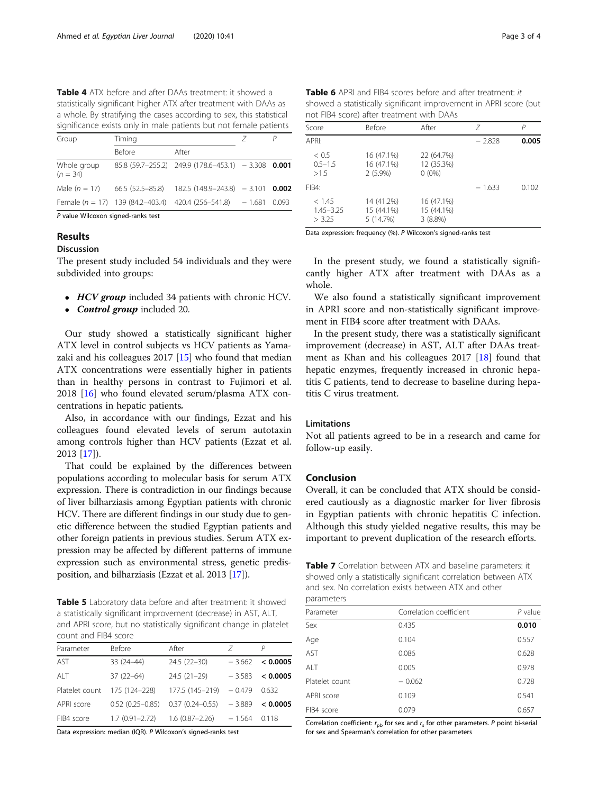<span id="page-2-0"></span>Table 4 ATX before and after DAAs treatment: it showed a statistically significant higher ATX after treatment with DAAs as a whole. By stratifying the cases according to sex, this statistical significance exists only in male patients but not female patients

| Group                     | Timing           |                                                              |       |
|---------------------------|------------------|--------------------------------------------------------------|-------|
|                           | <b>Before</b>    | After                                                        |       |
| Whole group<br>$(n = 34)$ |                  | $85.8$ (59.7-255.2) 249.9 (178.6-453.1) - 3.308 0.001        |       |
| Male $(n = 17)$           | 66.5 (52.5–85.8) | $182.5(148.9-243.8) - 3.101$                                 | 0.002 |
|                           |                  | Female $(n = 17)$ 139 (84.2-403.4) 420.4 (256-541.8) - 1.681 | 0.093 |
|                           |                  |                                                              |       |

P value Wilcoxon signed-ranks test

# **Results**

# Discussion

The present study included 54 individuals and they were subdivided into groups:

- HCV group included 34 patients with chronic HCV.
- Control group included 20.

Our study showed a statistically significant higher ATX level in control subjects vs HCV patients as Yamazaki and his colleagues 2017 [[15](#page-3-0)] who found that median ATX concentrations were essentially higher in patients than in healthy persons in contrast to Fujimori et al. 2018 [\[16](#page-3-0)] who found elevated serum/plasma ATX concentrations in hepatic patients.

Also, in accordance with our findings, Ezzat and his colleagues found elevated levels of serum autotaxin among controls higher than HCV patients (Ezzat et al. 2013 [\[17](#page-3-0)]).

That could be explained by the differences between populations according to molecular basis for serum ATX expression. There is contradiction in our findings because of liver bilharziasis among Egyptian patients with chronic HCV. There are different findings in our study due to genetic difference between the studied Egyptian patients and other foreign patients in previous studies. Serum ATX expression may be affected by different patterns of immune expression such as environmental stress, genetic predisposition, and bilharziasis (Ezzat et al. 2013 [\[17\]](#page-3-0)).

Table 5 Laboratory data before and after treatment: it showed a statistically significant improvement (decrease) in AST, ALT, and APRI score, but no statistically significant change in platelet count and FIB4 score

| Parameter      | <b>Before</b>       | After               | 7        | P        |
|----------------|---------------------|---------------------|----------|----------|
| <b>AST</b>     | $33(24-44)$         | 24.5 (22-30)        | $-3.662$ | < 0.0005 |
| AI T           | $37(22 - 64)$       | $24.5(21-29)$       | $-3.583$ | < 0.0005 |
| Platelet count | 175 (124-228)       | 177.5 (145-219)     | $-0.479$ | 0.632    |
| APRI score     | $0.52(0.25 - 0.85)$ | $0.37(0.24 - 0.55)$ | $-3.889$ | < 0.0005 |
| FIB4 score     | $1.7(0.91 - 2.72)$  | $1.6(0.87 - 2.26)$  | $-1.564$ | 0.118    |

Data expression: median (IQR). P Wilcoxon's signed-ranks test

Table 6 APRI and FIB4 scores before and after treatment: it showed a statistically significant improvement in APRI score (but not FIB4 score) after treatment with DAAs

| Score                             | Before                                 | After                                | 7        | Р     |
|-----------------------------------|----------------------------------------|--------------------------------------|----------|-------|
| APRI:                             |                                        |                                      | $-2.828$ | 0.005 |
| < 0.5<br>$0.5 - 1.5$<br>>15       | 16 (47.1%)<br>16 (47.1%)<br>$2(5.9\%)$ | 22 (64.7%)<br>12 (35.3%)<br>$0(0\%)$ |          |       |
| FIB4:                             |                                        |                                      | $-1.633$ | 0.102 |
| < 1.45<br>$1.45 - 3.25$<br>> 3.25 | 14 (41.2%)<br>15 (44.1%)<br>5 (14.7%)  | 16 (47.1%)<br>15 (44.1%)<br>3(8.8%)  |          |       |

Data expression: frequency (%). P Wilcoxon's signed-ranks test

In the present study, we found a statistically significantly higher ATX after treatment with DAAs as a whole.

We also found a statistically significant improvement in APRI score and non-statistically significant improvement in FIB4 score after treatment with DAAs.

In the present study, there was a statistically significant improvement (decrease) in AST, ALT after DAAs treatment as Khan and his colleagues 2017 [[18\]](#page-3-0) found that hepatic enzymes, frequently increased in chronic hepatitis C patients, tend to decrease to baseline during hepatitis C virus treatment.

# Limitations

Not all patients agreed to be in a research and came for follow-up easily.

# Conclusion

Overall, it can be concluded that ATX should be considered cautiously as a diagnostic marker for liver fibrosis in Egyptian patients with chronic hepatitis C infection. Although this study yielded negative results, this may be important to prevent duplication of the research efforts.

|            | <b>Table 7</b> Correlation between ATX and baseline parameters: it |
|------------|--------------------------------------------------------------------|
|            | showed only a statistically significant correlation between ATX    |
|            | and sex. No correlation exists between ATX and other               |
| narameters |                                                                    |

| parameters     |                         |           |
|----------------|-------------------------|-----------|
| Parameter      | Correlation coefficient | $P$ value |
| Sex            | 0.435                   | 0.010     |
| Age            | 0.104                   | 0.557     |
| AST            | 0.086                   | 0.628     |
| ALT            | 0.005                   | 0.978     |
| Platelet count | $-0.062$                | 0.728     |
| APRI score     | 0.109                   | 0.541     |
| FIB4 score     | 0.079                   | 0.657     |
|                |                         |           |

Correlation coefficient:  $r_{pb}$  for sex and  $r_s$  for other parameters. P point bi-serial for sex and Spearman's correlation for other parameters